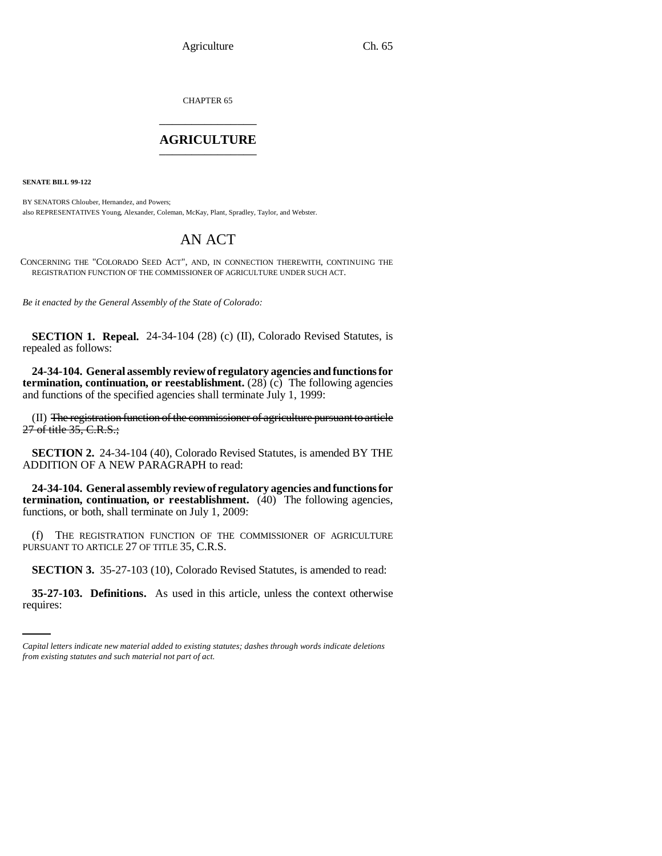CHAPTER 65 \_\_\_\_\_\_\_\_\_\_\_\_\_\_\_

## **AGRICULTURE** \_\_\_\_\_\_\_\_\_\_\_\_\_\_\_

**SENATE BILL 99-122** 

BY SENATORS Chlouber, Hernandez, and Powers; also REPRESENTATIVES Young, Alexander, Coleman, McKay, Plant, Spradley, Taylor, and Webster.

## AN ACT

CONCERNING THE "COLORADO SEED ACT", AND, IN CONNECTION THEREWITH, CONTINUING THE REGISTRATION FUNCTION OF THE COMMISSIONER OF AGRICULTURE UNDER SUCH ACT.

*Be it enacted by the General Assembly of the State of Colorado:*

**SECTION 1. Repeal.** 24-34-104 (28) (c) (II), Colorado Revised Statutes, is repealed as follows:

**24-34-104. General assembly review of regulatory agencies and functions for termination, continuation, or reestablishment.** (28) (c) The following agencies and functions of the specified agencies shall terminate July 1, 1999:

(II) The registration function of the commissioner of agriculture pursuant to article 27 of title 35, C.R.S.;

**SECTION 2.** 24-34-104 (40), Colorado Revised Statutes, is amended BY THE ADDITION OF A NEW PARAGRAPH to read:

**24-34-104. General assembly review of regulatory agencies and functions for termination, continuation, or reestablishment.** (40) The following agencies, functions, or both, shall terminate on July 1, 2009:

(f) THE REGISTRATION FUNCTION OF THE COMMISSIONER OF AGRICULTURE PURSUANT TO ARTICLE 27 OF TITLE 35, C.R.S.

**SECTION 3.** 35-27-103 (10), Colorado Revised Statutes, is amended to read:

**35-27-103. Definitions.** As used in this article, unless the context otherwise requires:

*Capital letters indicate new material added to existing statutes; dashes through words indicate deletions from existing statutes and such material not part of act.*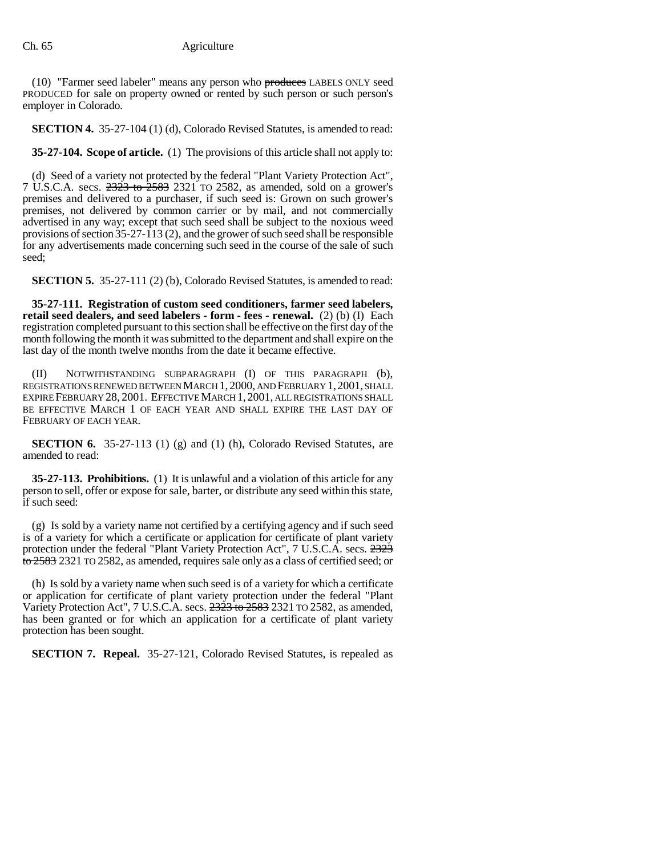(10) "Farmer seed labeler" means any person who produces LABELS ONLY seed PRODUCED for sale on property owned or rented by such person or such person's employer in Colorado.

**SECTION 4.** 35-27-104 (1) (d), Colorado Revised Statutes, is amended to read:

**35-27-104. Scope of article.** (1) The provisions of this article shall not apply to:

(d) Seed of a variety not protected by the federal "Plant Variety Protection Act", 7 U.S.C.A. secs.  $2323$  to  $2583$  2321 TO 2582, as amended, sold on a grower's premises and delivered to a purchaser, if such seed is: Grown on such grower's premises, not delivered by common carrier or by mail, and not commercially advertised in any way; except that such seed shall be subject to the noxious weed provisions of section 35-27-113 (2), and the grower of such seed shall be responsible for any advertisements made concerning such seed in the course of the sale of such seed;

**SECTION 5.** 35-27-111 (2) (b), Colorado Revised Statutes, is amended to read:

**35-27-111. Registration of custom seed conditioners, farmer seed labelers, retail seed dealers, and seed labelers - form - fees - renewal.** (2) (b) (I) Each registration completed pursuant to this section shall be effective on the first day of the month following the month it was submitted to the department and shall expire on the last day of the month twelve months from the date it became effective.

(II) NOTWITHSTANDING SUBPARAGRAPH (I) OF THIS PARAGRAPH (b), REGISTRATIONS RENEWED BETWEEN MARCH 1, 2000, AND FEBRUARY 1,2001, SHALL EXPIRE FEBRUARY 28, 2001. EFFECTIVE MARCH 1, 2001, ALL REGISTRATIONS SHALL BE EFFECTIVE MARCH 1 OF EACH YEAR AND SHALL EXPIRE THE LAST DAY OF FEBRUARY OF EACH YEAR.

**SECTION 6.** 35-27-113 (1) (g) and (1) (h), Colorado Revised Statutes, are amended to read:

**35-27-113. Prohibitions.** (1) It is unlawful and a violation of this article for any person to sell, offer or expose for sale, barter, or distribute any seed within this state, if such seed:

(g) Is sold by a variety name not certified by a certifying agency and if such seed is of a variety for which a certificate or application for certificate of plant variety protection under the federal "Plant Variety Protection Act", 7 U.S.C.A. secs. 2323 to 2583 2321 TO 2582, as amended, requires sale only as a class of certified seed; or

(h) Is sold by a variety name when such seed is of a variety for which a certificate or application for certificate of plant variety protection under the federal "Plant Variety Protection Act", 7 U.S.C.A. secs.  $2323$  to  $2583$  2321 TO 2582, as amended, has been granted or for which an application for a certificate of plant variety protection has been sought.

**SECTION 7. Repeal.** 35-27-121, Colorado Revised Statutes, is repealed as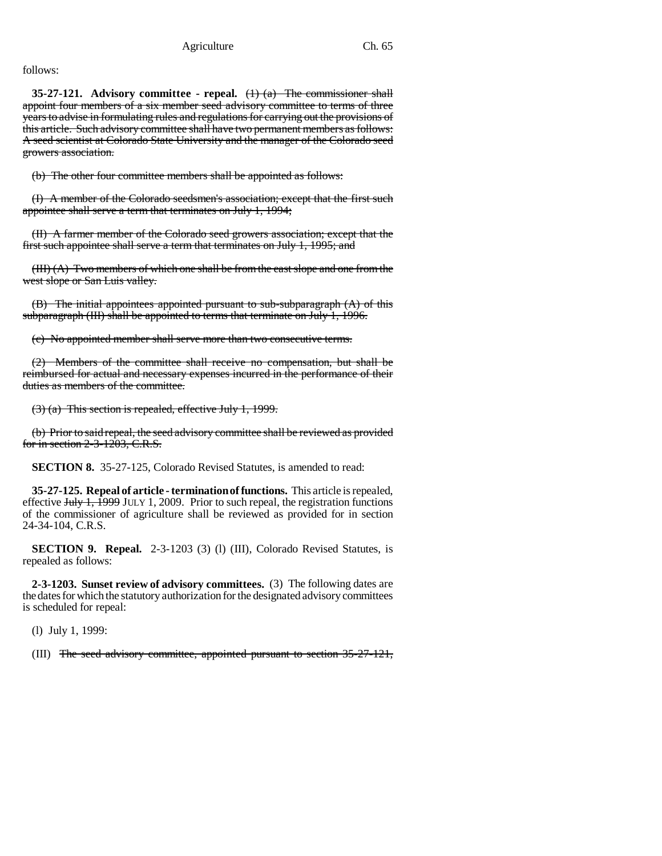follows:

**35-27-121. Advisory committee - repeal.** (1) (a) The commissioner shall appoint four members of a six member seed advisory committee to terms of three years to advise in formulating rules and regulations for carrying out the provisions of this article. Such advisory committee shall have two permanent members as follows: A seed scientist at Colorado State University and the manager of the Colorado seed growers association.

(b) The other four committee members shall be appointed as follows:

(I) A member of the Colorado seedsmen's association; except that the first such appointee shall serve a term that terminates on July 1, 1994;

(II) A farmer member of the Colorado seed growers association; except that the first such appointee shall serve a term that terminates on July 1, 1995; and

(III) (A) Two members of which one shall be from the east slope and one from the west slope or San Luis valley.

(B) The initial appointees appointed pursuant to sub-subparagraph (A) of this subparagraph (III) shall be appointed to terms that terminate on July 1, 1996.

(c) No appointed member shall serve more than two consecutive terms.

(2) Members of the committee shall receive no compensation, but shall be reimbursed for actual and necessary expenses incurred in the performance of their duties as members of the committee.

(3) (a) This section is repealed, effective July 1, 1999.

(b) Prior to said repeal, the seed advisory committee shall be reviewed as provided for in section 2-3-1203, C.R.S.

**SECTION 8.** 35-27-125, Colorado Revised Statutes, is amended to read:

**35-27-125. Repeal of article - termination of functions.** This article is repealed, effective  $\frac{\text{H}_y}{\text{H}_y}$  J $\frac{1}{\text{H}_y}$  JULY 1, 2009. Prior to such repeal, the registration functions of the commissioner of agriculture shall be reviewed as provided for in section 24-34-104, C.R.S.

**SECTION 9. Repeal.** 2-3-1203 (3) (l) (III), Colorado Revised Statutes, is repealed as follows:

**2-3-1203. Sunset review of advisory committees.** (3) The following dates are the dates for which the statutory authorization for the designated advisory committees is scheduled for repeal:

(l) July 1, 1999:

(III) The seed advisory committee, appointed pursuant to section 35-27-121,